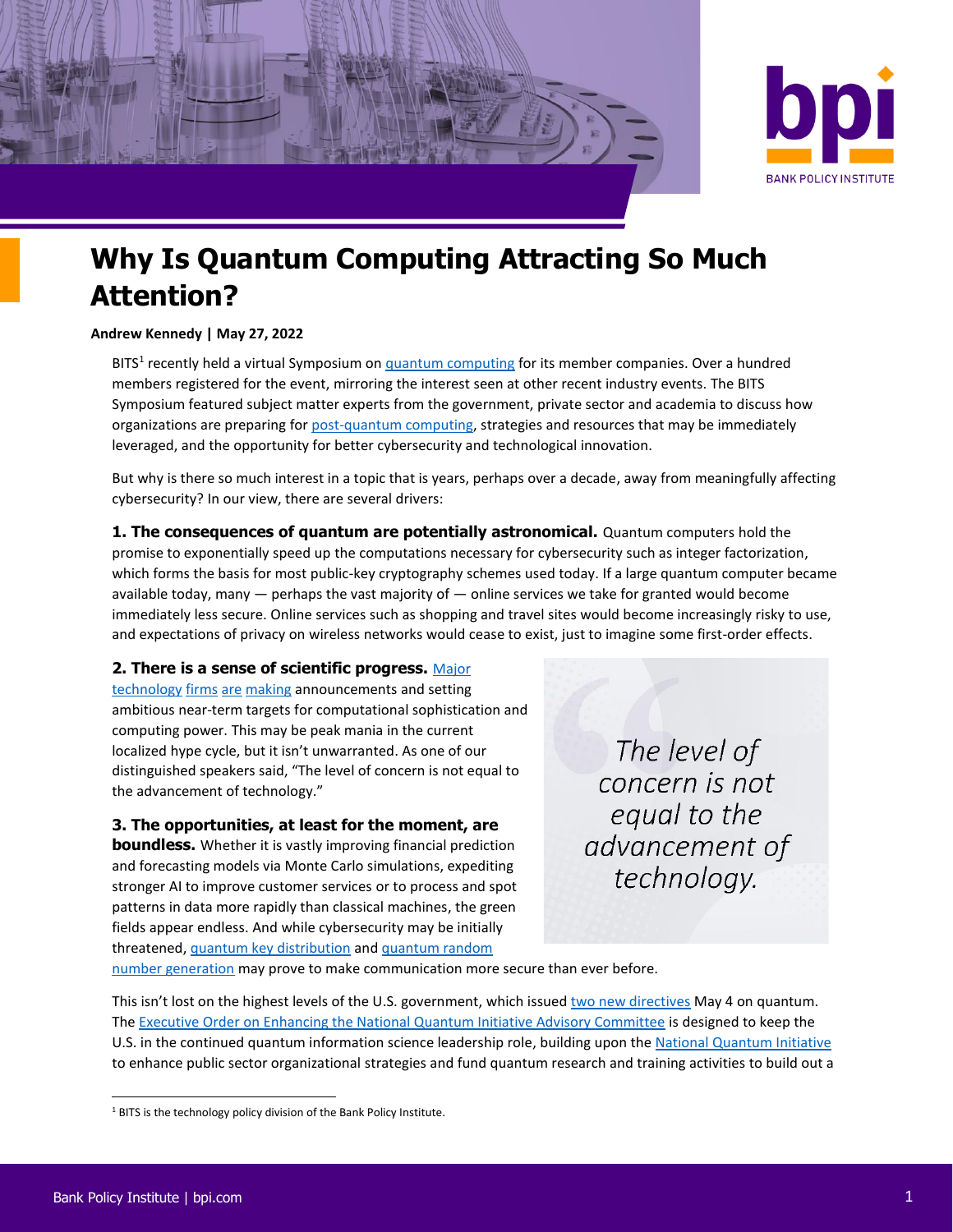



# **Why Is Quantum Computing Attracting So Much Attention?**

#### **Andrew Kennedy | May 27, 2022**

BITS<sup>1</sup> recently held a virtual Symposium on **quantum computing for its member companies**. Over a hundred members registered for the event, mirroring the interest seen at other recent industry events. The BITS Symposium featured subject matter experts from the government, private sector and academia to discuss how organizations are preparing fo[r post-quantum computing,](https://www.dhs.gov/quantum) strategies and resources that may be immediately leveraged, and the opportunity for better cybersecurity and technological innovation.

But why is there so much interest in a topic that is years, perhaps over a decade, away from meaningfully affecting cybersecurity? In our view, there are several drivers:

**1. The consequences of quantum are potentially astronomical.** Quantum computers hold the promise to exponentially speed up the computations necessary for cybersecurity such as integer factorization, which forms the basis for most public-key cryptography schemes used today. If a large quantum computer became available today, many — perhaps the vast majority of — online services we take for granted would become immediately less secure. Online services such as shopping and travel sites would become increasingly risky to use, and expectations of privacy on wireless networks would cease to exist, just to imagine some first-order effects.

### **2. There is a sense of scientific progress.** [Major](https://www.engadget.com/ibm-wants-its-quantum-supercomputers-running-at-4000-plus-qubits-by-2025-110012129.html)

[technology](https://www.wsj.com/articles/google-aims-for-commercial-grade-quantum-computer-by-2029-11621359156) [firms](https://www.aboutamazon.com/news/aws/aws-launches-new-quantum-computing-center) [are](https://news.microsoft.com/innovation-stories/azure-quantum-majorana-topological-qubit/) [making](https://www.hpcwire.com/off-the-wire/rigetti-announces-commercial-availability-of-aspen-m-system-and-results-of-clops-speed-tests/) announcements and setting ambitious near-term targets for computational sophistication and computing power. This may be peak mania in the current localized hype cycle, but it isn't unwarranted. As one of our distinguished speakers said, "The level of concern is not equal to the advancement of technology."

### **3. The opportunities, at least for the moment, are**

**boundless.** Whether it is vastly improving financial prediction and forecasting models via Monte Carlo simulations, expediting stronger AI to improve customer services or to process and spot patterns in data more rapidly than classical machines, the green fields appear endless. And while cybersecurity may be initially threatened[, quantum key distribution](https://www.techtarget.com/searchsecurity/definition/quantum-key-distribution-QKD) an[d quantum random](https://daily.jstor.org/the-quantum-random-number-generator/) 

The level of concern is not equal to the advancement of technology.

[number generation](https://daily.jstor.org/the-quantum-random-number-generator/) may prove to make communication more secure than ever before.

This isn't lost on the highest levels of the U.S. government, which issue[d two new directives](https://www.whitehouse.gov/briefing-room/statements-releases/2022/05/04/fact-sheet-president-biden-announces-two-presidential-directives-advancing-quantum-technologies/) May 4 on quantum. The Executive Order [on Enhancing the National Quantum Initiative Advisory Committee](https://www.whitehouse.gov/briefing-room/presidential-actions/2022/05/04/executive-order-on-enhancing-the-national-quantum-initiative-advisory-committee/) is designed to keep the U.S. in the continued quantum information science leadership role, building upon the [National Quantum Initiative](https://www.quantum.gov/) to enhance public sector organizational strategies and fund quantum research and training activities to build out a

<sup>&</sup>lt;sup>1</sup> BITS is the technology policy division of the Bank Policy Institute.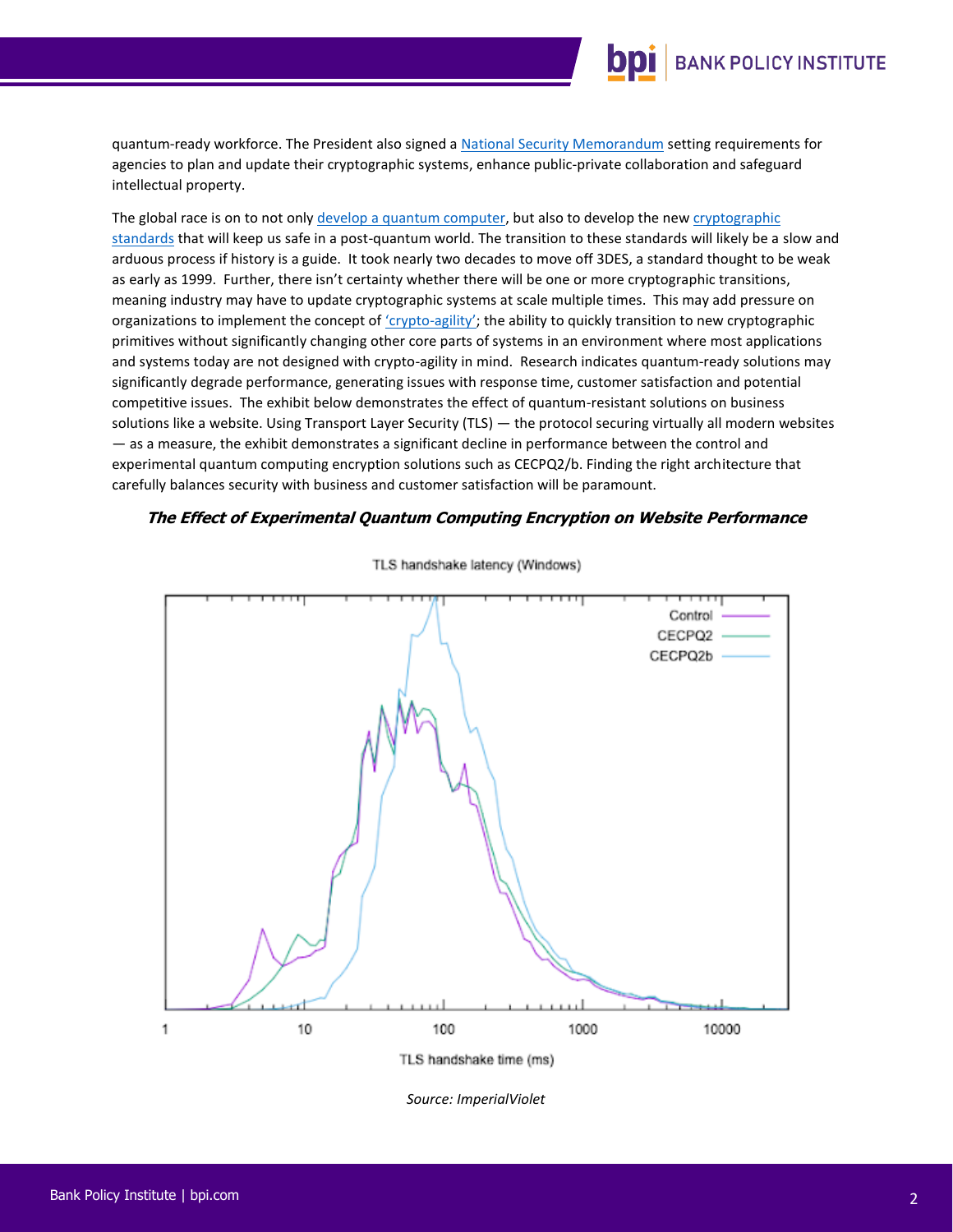## **BANK POLICY INSTITUTE**

quantum-ready workforce. The President also signed a [National Security Memorandum](https://www.whitehouse.gov/briefing-room/presidential-actions/2022/01/19/memorandum-on-improving-the-cybersecurity-of-national-security-department-of-defense-and-intelligence-community-systems/) setting requirements for agencies to plan and update their cryptographic systems, enhance public-private collaboration and safeguard intellectual property.

The global race is on to not only [develop a quantum computer,](https://www.cyberscoop.com/white-house-u-s-china-quantum-jonah-force-hill/) but also to develop the new [cryptographic](https://csrc.nist.gov/projects/post-quantum-cryptography/round-3-submissions)  [standards](https://csrc.nist.gov/projects/post-quantum-cryptography/round-3-submissions) that will keep us safe in a post-quantum world. The transition to these standards will likely be a slow and arduous process if history is a guide. It took nearly two decades to move off 3DES, a standard thought to be weak as early as 1999. Further, there isn't certainty whether there will be one or more cryptographic transitions, meaning industry may have to update cryptographic systems at scale multiple times. This may add pressure on organizations to implement the concept of ['crypto](https://www.cryptomathic.com/news-events/blog/what-is-crypto-agility)-agility'; the ability to quickly transition to new cryptographic primitives without significantly changing other core parts of systems in an environment where most applications and systems today are not designed with crypto-agility in mind. Research indicates quantum-ready solutions may significantly degrade performance, generating issues with response time, customer satisfaction and potential competitive issues. The exhibit below demonstrates the effect of quantum-resistant solutions on business solutions like a website. Using Transport Layer Security (TLS) — the protocol securing virtually all modern websites — as a measure, the exhibit demonstrates a significant decline in performance between the control and experimental quantum computing encryption solutions such as CECPQ2/b. Finding the right architecture that carefully balances security with business and customer satisfaction will be paramount.

#### **The Effect of Experimental Quantum Computing Encryption on Website Performance**



TLS handshake latency (Windows)

*Source: ImperialViolet*